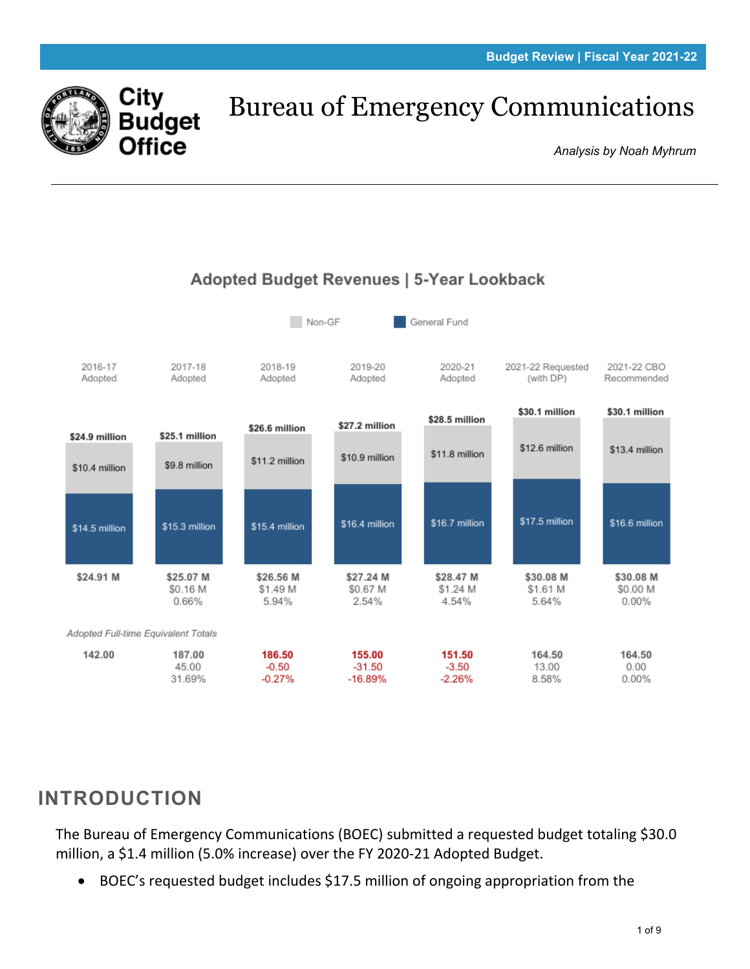

# Bureau of Emergency Communications

*Analysis by Noah Myhrum*



#### Adopted Budget Revenues | 5-Year Lookback

## **INTRODUCTION**

The Bureau of Emergency Communications (BOEC) submitted a requested budget totaling \$30.0 million, a \$1.4 million (5.0% increase) over the FY 2020-21 Adopted Budget.

• BOEC's requested budget includes \$17.5 million of ongoing appropriation from the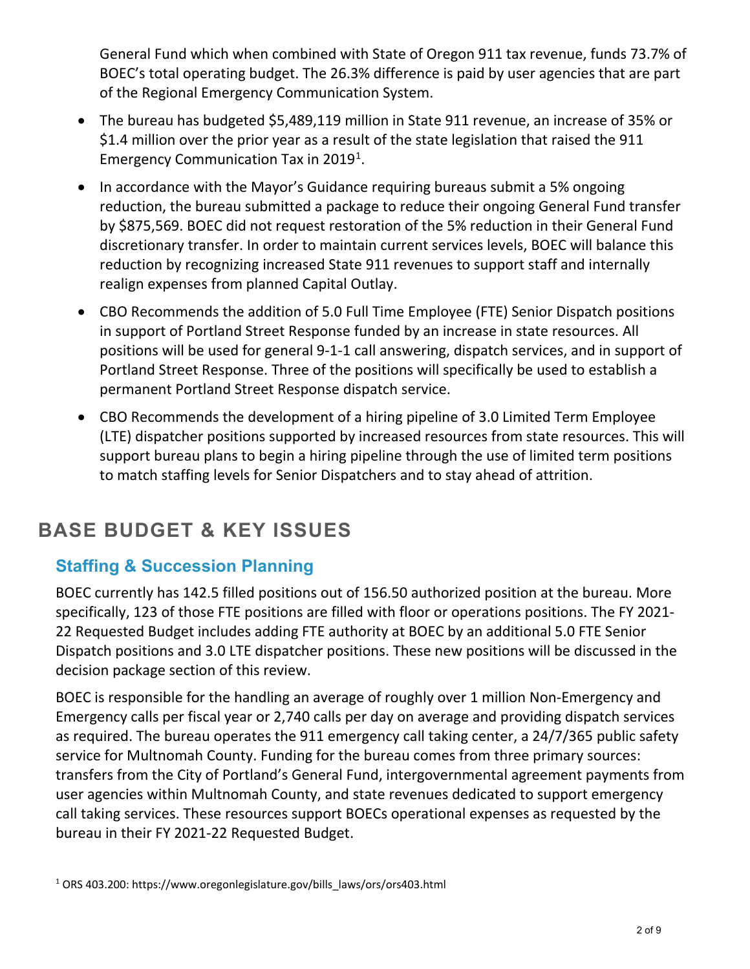General Fund which when combined with State of Oregon 911 tax revenue, funds 73.7% of BOEC's total operating budget. The 26.3% difference is paid by user agencies that are part of the Regional Emergency Communication System.

- The bureau has budgeted \$5,489,119 million in State 911 revenue, an increase of 35% or \$1.4 million over the prior year as a result of the state legislation that raised the 911 Emergency Communication Tax in 20[1](#page-1-0)9<sup>1</sup>.
- In accordance with the Mayor's Guidance requiring bureaus submit a 5% ongoing reduction, the bureau submitted a package to reduce their ongoing General Fund transfer by \$875,569. BOEC did not request restoration of the 5% reduction in their General Fund discretionary transfer. In order to maintain current services levels, BOEC will balance this reduction by recognizing increased State 911 revenues to support staff and internally realign expenses from planned Capital Outlay.
- CBO Recommends the addition of 5.0 Full Time Employee (FTE) Senior Dispatch positions in support of Portland Street Response funded by an increase in state resources. All positions will be used for general 9-1-1 call answering, dispatch services, and in support of Portland Street Response. Three of the positions will specifically be used to establish a permanent Portland Street Response dispatch service.
- CBO Recommends the development of a hiring pipeline of 3.0 Limited Term Employee (LTE) dispatcher positions supported by increased resources from state resources. This will support bureau plans to begin a hiring pipeline through the use of limited term positions to match staffing levels for Senior Dispatchers and to stay ahead of attrition.

## **BASE BUDGET & KEY ISSUES**

## **Staffing & Succession Planning**

BOEC currently has 142.5 filled positions out of 156.50 authorized position at the bureau. More specifically, 123 of those FTE positions are filled with floor or operations positions. The FY 2021- 22 Requested Budget includes adding FTE authority at BOEC by an additional 5.0 FTE Senior Dispatch positions and 3.0 LTE dispatcher positions. These new positions will be discussed in the decision package section of this review.

<span id="page-1-0"></span>BOEC is responsible for the handling an average of roughly over 1 million Non-Emergency and Emergency calls per fiscal year or 2,740 calls per day on average and providing dispatch services as required. The bureau operates the 911 emergency call taking center, a 24/7/365 public safety service for Multnomah County. Funding for the bureau comes from three primary sources: transfers from the City of Portland's General Fund, intergovernmental agreement payments from user agencies within Multnomah County, and state revenues dedicated to support emergency call taking services. These resources support BOECs operational expenses as requested by the bureau in their FY 2021-22 Requested Budget.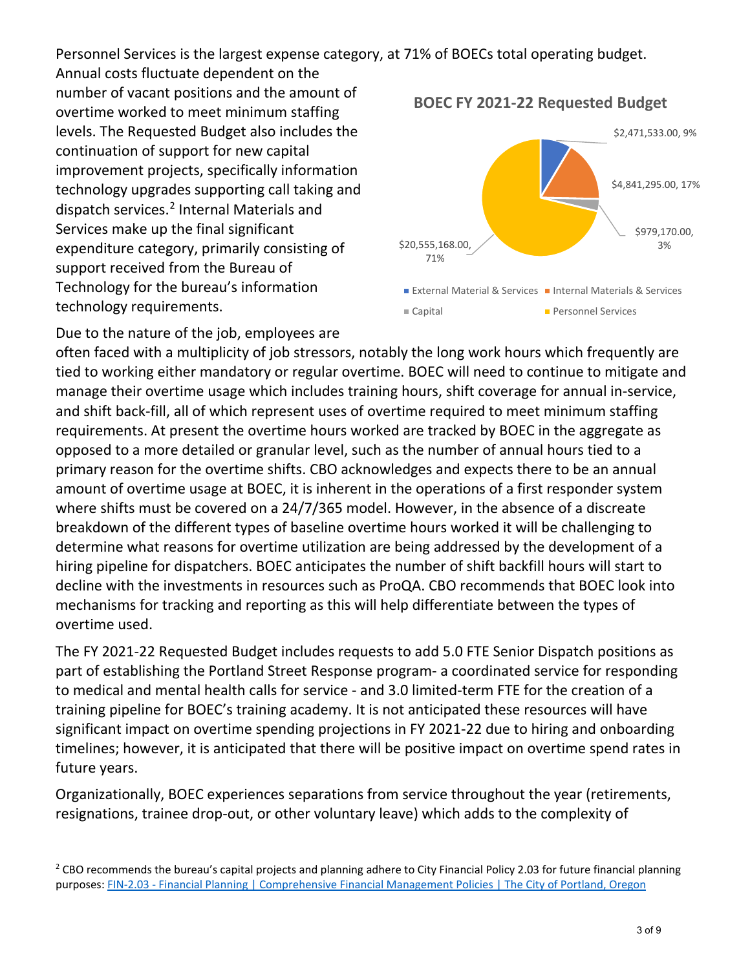Personnel Services is the largest expense category, at 71% of BOECs total operating budget.

Annual costs fluctuate dependent on the number of vacant positions and the amount of overtime worked to meet minimum staffing levels. The Requested Budget also includes the continuation of support for new capital improvement projects, specifically information technology upgrades supporting call taking and dispatch services.<sup>[2](#page-2-0)</sup> Internal Materials and Services make up the final significant expenditure category, primarily consisting of support received from the Bureau of Technology for the bureau's information technology requirements.

\$2,471,533.00, 9% \$4,841,295.00, 17% \$979,170.00,  $$20,555,168.00,$  3% 71% External Material & Services Internal Materials & Services ■ Capital Personnel Services

**BOEC FY 2021-22 Requested Budget**

Due to the nature of the job, employees are often faced with a multiplicity of job stressors, notably the long work hours which frequently are tied to working either mandatory or regular overtime. BOEC will need to continue to mitigate and manage their overtime usage which includes training hours, shift coverage for annual in-service, and shift back-fill, all of which represent uses of overtime required to meet minimum staffing requirements. At present the overtime hours worked are tracked by BOEC in the aggregate as opposed to a more detailed or granular level, such as the number of annual hours tied to a primary reason for the overtime shifts. CBO acknowledges and expects there to be an annual amount of overtime usage at BOEC, it is inherent in the operations of a first responder system where shifts must be covered on a 24/7/365 model. However, in the absence of a discreate breakdown of the different types of baseline overtime hours worked it will be challenging to determine what reasons for overtime utilization are being addressed by the development of a hiring pipeline for dispatchers. BOEC anticipates the number of shift backfill hours will start to decline with the investments in resources such as ProQA. CBO recommends that BOEC look into mechanisms for tracking and reporting as this will help differentiate between the types of overtime used.

The FY 2021-22 Requested Budget includes requests to add 5.0 FTE Senior Dispatch positions as part of establishing the Portland Street Response program- a coordinated service for responding to medical and mental health calls for service - and 3.0 limited-term FTE for the creation of a training pipeline for BOEC's training academy. It is not anticipated these resources will have significant impact on overtime spending projections in FY 2021-22 due to hiring and onboarding timelines; however, it is anticipated that there will be positive impact on overtime spend rates in future years.

Organizationally, BOEC experiences separations from service throughout the year (retirements, resignations, trainee drop-out, or other voluntary leave) which adds to the complexity of

<span id="page-2-0"></span> $2$  CBO recommends the bureau's capital projects and planning adhere to City Financial Policy 2.03 for future financial planning purposes[: FIN-2.03 - Financial Planning | Comprehensive Financial Management Policies | The City of Portland, Oregon](https://www.portlandoregon.gov/citycode/article/200789)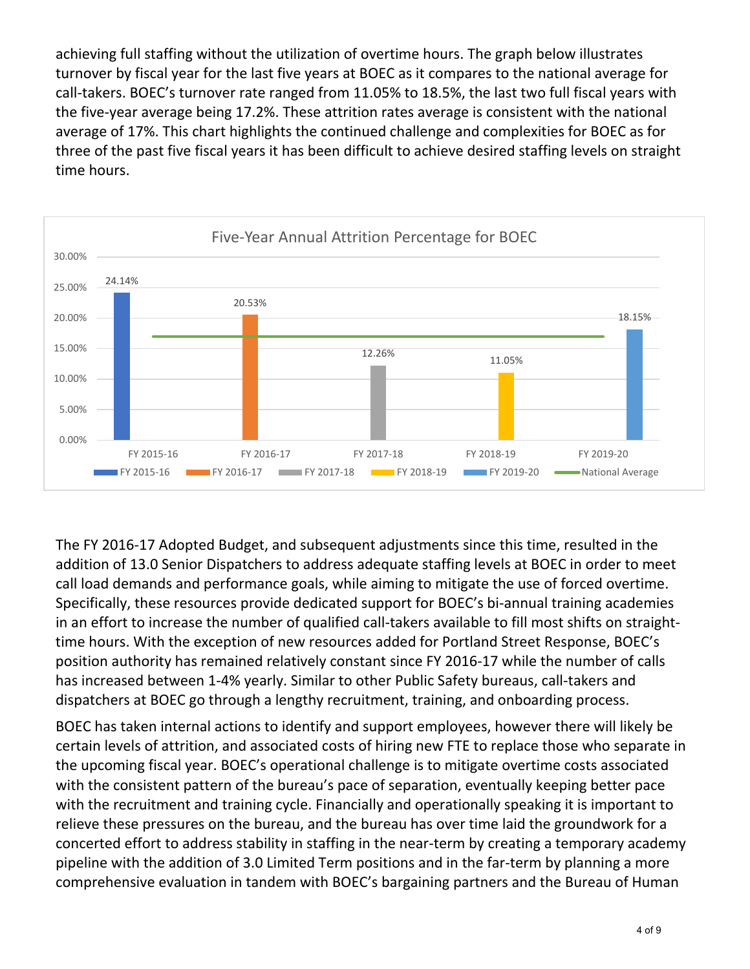achieving full staffing without the utilization of overtime hours. The graph below illustrates turnover by fiscal year for the last five years at BOEC as it compares to the national average for call-takers. BOEC's turnover rate ranged from 11.05% to 18.5%, the last two full fiscal years with the five-year average being 17.2%. These attrition rates average is consistent with the national average of 17%. This chart highlights the continued challenge and complexities for BOEC as for three of the past five fiscal years it has been difficult to achieve desired staffing levels on straight time hours.



The FY 2016-17 Adopted Budget, and subsequent adjustments since this time, resulted in the addition of 13.0 Senior Dispatchers to address adequate staffing levels at BOEC in order to meet call load demands and performance goals, while aiming to mitigate the use of forced overtime. Specifically, these resources provide dedicated support for BOEC's bi-annual training academies in an effort to increase the number of qualified call-takers available to fill most shifts on straighttime hours. With the exception of new resources added for Portland Street Response, BOEC's position authority has remained relatively constant since FY 2016-17 while the number of calls has increased between 1-4% yearly. Similar to other Public Safety bureaus, call-takers and dispatchers at BOEC go through a lengthy recruitment, training, and onboarding process.

BOEC has taken internal actions to identify and support employees, however there will likely be certain levels of attrition, and associated costs of hiring new FTE to replace those who separate in the upcoming fiscal year. BOEC's operational challenge is to mitigate overtime costs associated with the consistent pattern of the bureau's pace of separation, eventually keeping better pace with the recruitment and training cycle. Financially and operationally speaking it is important to relieve these pressures on the bureau, and the bureau has over time laid the groundwork for a concerted effort to address stability in staffing in the near-term by creating a temporary academy pipeline with the addition of 3.0 Limited Term positions and in the far-term by planning a more comprehensive evaluation in tandem with BOEC's bargaining partners and the Bureau of Human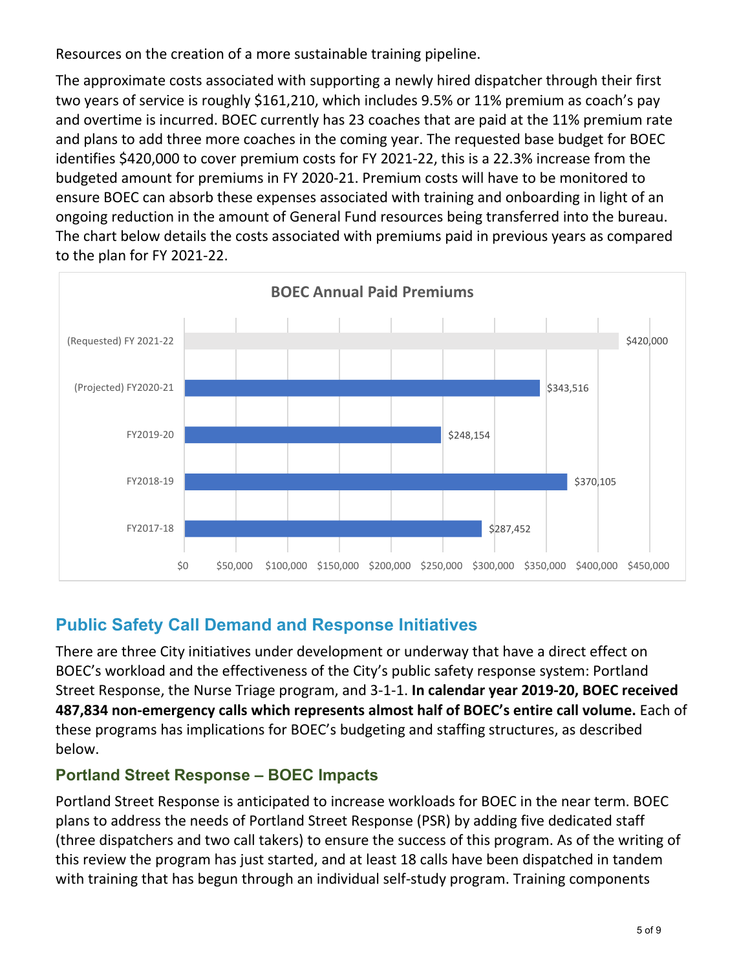Resources on the creation of a more sustainable training pipeline.

The approximate costs associated with supporting a newly hired dispatcher through their first two years of service is roughly \$161,210, which includes 9.5% or 11% premium as coach's pay and overtime is incurred. BOEC currently has 23 coaches that are paid at the 11% premium rate and plans to add three more coaches in the coming year. The requested base budget for BOEC identifies \$420,000 to cover premium costs for FY 2021-22, this is a 22.3% increase from the budgeted amount for premiums in FY 2020-21. Premium costs will have to be monitored to ensure BOEC can absorb these expenses associated with training and onboarding in light of an ongoing reduction in the amount of General Fund resources being transferred into the bureau. The chart below details the costs associated with premiums paid in previous years as compared to the plan for FY 2021-22.



### **Public Safety Call Demand and Response Initiatives**

There are three City initiatives under development or underway that have a direct effect on BOEC's workload and the effectiveness of the City's public safety response system: Portland Street Response, the Nurse Triage program, and 3-1-1. **In calendar year 2019-20, BOEC received 487,834 non-emergency calls which represents almost half of BOEC's entire call volume.** Each of these programs has implications for BOEC's budgeting and staffing structures, as described below.

#### **Portland Street Response – BOEC Impacts**

Portland Street Response is anticipated to increase workloads for BOEC in the near term. BOEC plans to address the needs of Portland Street Response (PSR) by adding five dedicated staff (three dispatchers and two call takers) to ensure the success of this program. As of the writing of this review the program has just started, and at least 18 calls have been dispatched in tandem with training that has begun through an individual self-study program. Training components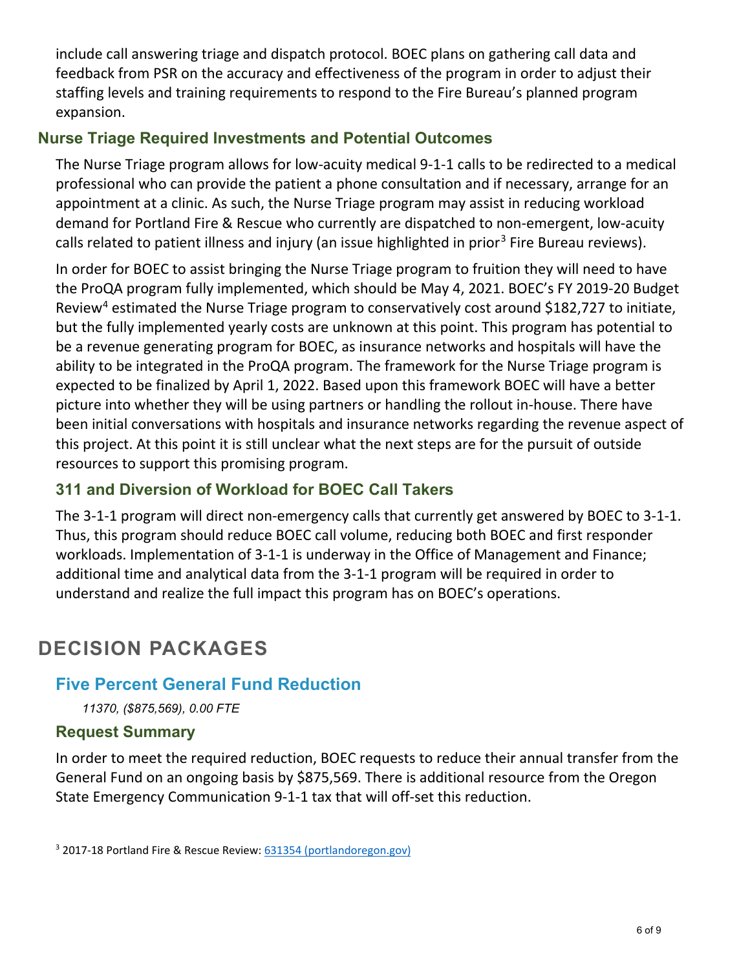include call answering triage and dispatch protocol. BOEC plans on gathering call data and feedback from PSR on the accuracy and effectiveness of the program in order to adjust their staffing levels and training requirements to respond to the Fire Bureau's planned program expansion.

#### **Nurse Triage Required Investments and Potential Outcomes**

The Nurse Triage program allows for low-acuity medical 9-1-1 calls to be redirected to a medical professional who can provide the patient a phone consultation and if necessary, arrange for an appointment at a clinic. As such, the Nurse Triage program may assist in reducing workload demand for Portland Fire & Rescue who currently are dispatched to non-emergent, low-acuity calls related to patient illness and injury (an issue highlighted in prior<sup>[3](#page-5-0)</sup> Fire Bureau reviews).

In order for BOEC to assist bringing the Nurse Triage program to fruition they will need to have the ProQA program fully implemented, which should be May 4, 2021. BOEC's FY 2019-20 Budget Review<sup>[4](#page-5-1)</sup> estimated the Nurse Triage program to conservatively cost around \$182,727 to initiate, but the fully implemented yearly costs are unknown at this point. This program has potential to be a revenue generating program for BOEC, as insurance networks and hospitals will have the ability to be integrated in the ProQA program. The framework for the Nurse Triage program is expected to be finalized by April 1, 2022. Based upon this framework BOEC will have a better picture into whether they will be using partners or handling the rollout in-house. There have been initial conversations with hospitals and insurance networks regarding the revenue aspect of this project. At this point it is still unclear what the next steps are for the pursuit of outside resources to support this promising program.

#### **311 and Diversion of Workload for BOEC Call Takers**

The 3-1-1 program will direct non-emergency calls that currently get answered by BOEC to 3-1-1. Thus, this program should reduce BOEC call volume, reducing both BOEC and first responder workloads. Implementation of 3-1-1 is underway in the Office of Management and Finance; additional time and analytical data from the 3-1-1 program will be required in order to understand and realize the full impact this program has on BOEC's operations.

## **DECISION PACKAGES**

#### **Five Percent General Fund Reduction**

*11370, (\$875,569), 0.00 FTE*

#### **Request Summary**

In order to meet the required reduction, BOEC requests to reduce their annual transfer from the General Fund on an ongoing basis by \$875,569. There is additional resource from the Oregon State Emergency Communication 9-1-1 tax that will off-set this reduction.

<span id="page-5-1"></span><span id="page-5-0"></span><sup>3</sup> 2017-18 Portland Fire & Rescue Review: [631354 \(portlandoregon.gov\)](https://www.portlandoregon.gov/cbo/article/631354)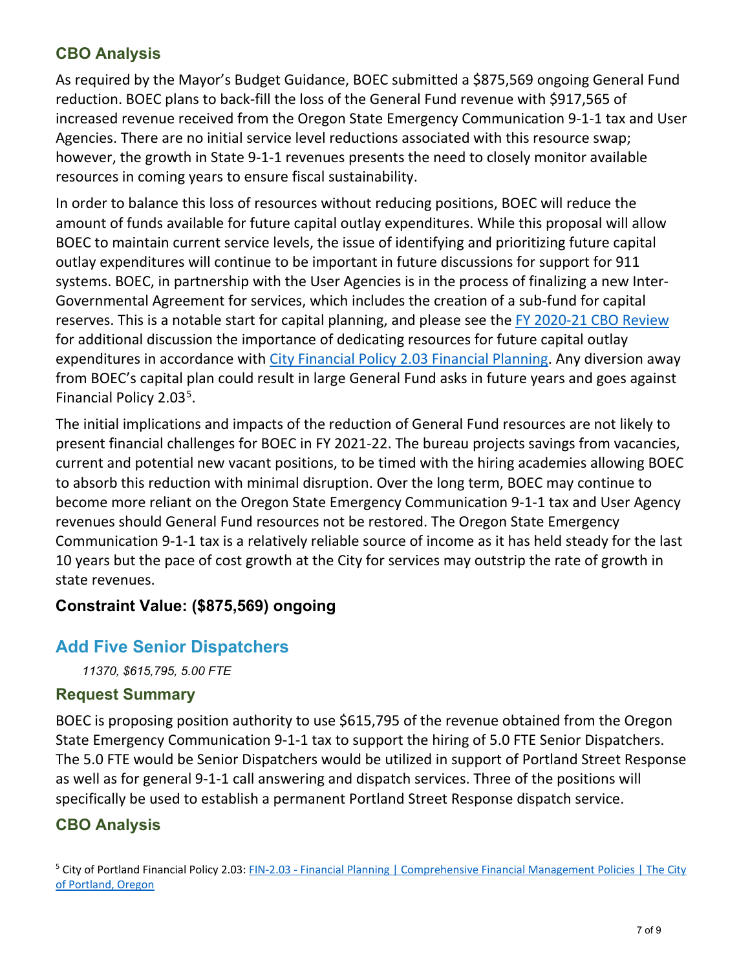#### **CBO Analysis**

As required by the Mayor's Budget Guidance, BOEC submitted a \$875,569 ongoing General Fund reduction. BOEC plans to back-fill the loss of the General Fund revenue with \$917,565 of increased revenue received from the Oregon State Emergency Communication 9-1-1 tax and User Agencies. There are no initial service level reductions associated with this resource swap; however, the growth in State 9-1-1 revenues presents the need to closely monitor available resources in coming years to ensure fiscal sustainability.

In order to balance this loss of resources without reducing positions, BOEC will reduce the amount of funds available for future capital outlay expenditures. While this proposal will allow BOEC to maintain current service levels, the issue of identifying and prioritizing future capital outlay expenditures will continue to be important in future discussions for support for 911 systems. BOEC, in partnership with the User Agencies is in the process of finalizing a new Inter-Governmental Agreement for services, which includes the creation of a sub-fund for capital reserves. This is a notable start for capital planning, and please see the [FY 2020-21 CBO Review](https://www.portlandoregon.gov/cbo/article/754841) for additional discussion the importance of dedicating resources for future capital outlay expenditures in accordance with [City Financial Policy 2.03 Financial Planning.](https://www.portlandoregon.gov/citycode/article/200789) Any diversion away from BOEC's capital plan could result in large General Fund asks in future years and goes against Financial Policy 2.03<sup>[5](#page-6-0)</sup>.

The initial implications and impacts of the reduction of General Fund resources are not likely to present financial challenges for BOEC in FY 2021-22. The bureau projects savings from vacancies, current and potential new vacant positions, to be timed with the hiring academies allowing BOEC to absorb this reduction with minimal disruption. Over the long term, BOEC may continue to become more reliant on the Oregon State Emergency Communication 9-1-1 tax and User Agency revenues should General Fund resources not be restored. The Oregon State Emergency Communication 9-1-1 tax is a relatively reliable source of income as it has held steady for the last 10 years but the pace of cost growth at the City for services may outstrip the rate of growth in state revenues.

#### **Constraint Value: (\$875,569) ongoing**

### **Add Five Senior Dispatchers**

*11370, \$615,795, 5.00 FTE*

#### **Request Summary**

BOEC is proposing position authority to use \$615,795 of the revenue obtained from the Oregon State Emergency Communication 9-1-1 tax to support the hiring of 5.0 FTE Senior Dispatchers. The 5.0 FTE would be Senior Dispatchers would be utilized in support of Portland Street Response as well as for general 9-1-1 call answering and dispatch services. Three of the positions will specifically be used to establish a permanent Portland Street Response dispatch service.

#### **CBO Analysis**

<span id="page-6-0"></span><sup>&</sup>lt;sup>5</sup> City of Portland Financial Policy 2.03: FIN-2.03 - Financial Planning | Comprehensive Financial Management Policies | The City [of Portland, Oregon](https://www.portlandoregon.gov/citycode/article/200789)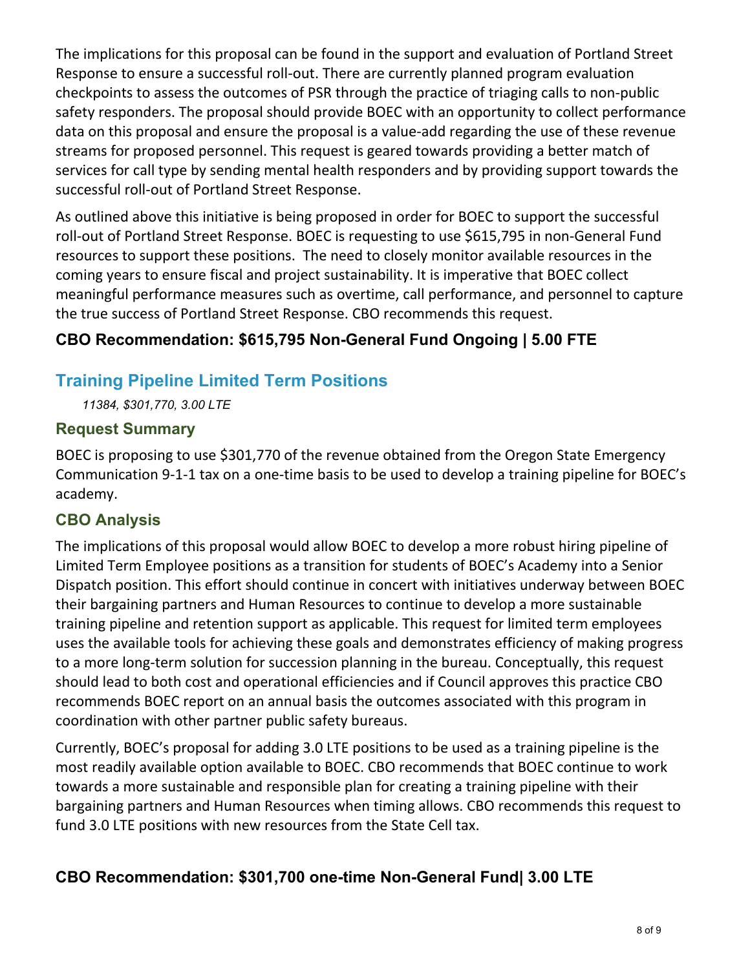The implications for this proposal can be found in the support and evaluation of Portland Street Response to ensure a successful roll-out. There are currently planned program evaluation checkpoints to assess the outcomes of PSR through the practice of triaging calls to non-public safety responders. The proposal should provide BOEC with an opportunity to collect performance data on this proposal and ensure the proposal is a value-add regarding the use of these revenue streams for proposed personnel. This request is geared towards providing a better match of services for call type by sending mental health responders and by providing support towards the successful roll-out of Portland Street Response.

As outlined above this initiative is being proposed in order for BOEC to support the successful roll-out of Portland Street Response. BOEC is requesting to use \$615,795 in non-General Fund resources to support these positions. The need to closely monitor available resources in the coming years to ensure fiscal and project sustainability. It is imperative that BOEC collect meaningful performance measures such as overtime, call performance, and personnel to capture the true success of Portland Street Response. CBO recommends this request.

#### **CBO Recommendation: \$615,795 Non-General Fund Ongoing | 5.00 FTE**

#### **Training Pipeline Limited Term Positions**

*11384, \$301,770, 3.00 LTE*

#### **Request Summary**

BOEC is proposing to use \$301,770 of the revenue obtained from the Oregon State Emergency Communication 9-1-1 tax on a one-time basis to be used to develop a training pipeline for BOEC's academy.

#### **CBO Analysis**

The implications of this proposal would allow BOEC to develop a more robust hiring pipeline of Limited Term Employee positions as a transition for students of BOEC's Academy into a Senior Dispatch position. This effort should continue in concert with initiatives underway between BOEC their bargaining partners and Human Resources to continue to develop a more sustainable training pipeline and retention support as applicable. This request for limited term employees uses the available tools for achieving these goals and demonstrates efficiency of making progress to a more long-term solution for succession planning in the bureau. Conceptually, this request should lead to both cost and operational efficiencies and if Council approves this practice CBO recommends BOEC report on an annual basis the outcomes associated with this program in coordination with other partner public safety bureaus.

Currently, BOEC's proposal for adding 3.0 LTE positions to be used as a training pipeline is the most readily available option available to BOEC. CBO recommends that BOEC continue to work towards a more sustainable and responsible plan for creating a training pipeline with their bargaining partners and Human Resources when timing allows. CBO recommends this request to fund 3.0 LTE positions with new resources from the State Cell tax.

#### **CBO Recommendation: \$301,700 one-time Non-General Fund| 3.00 LTE**